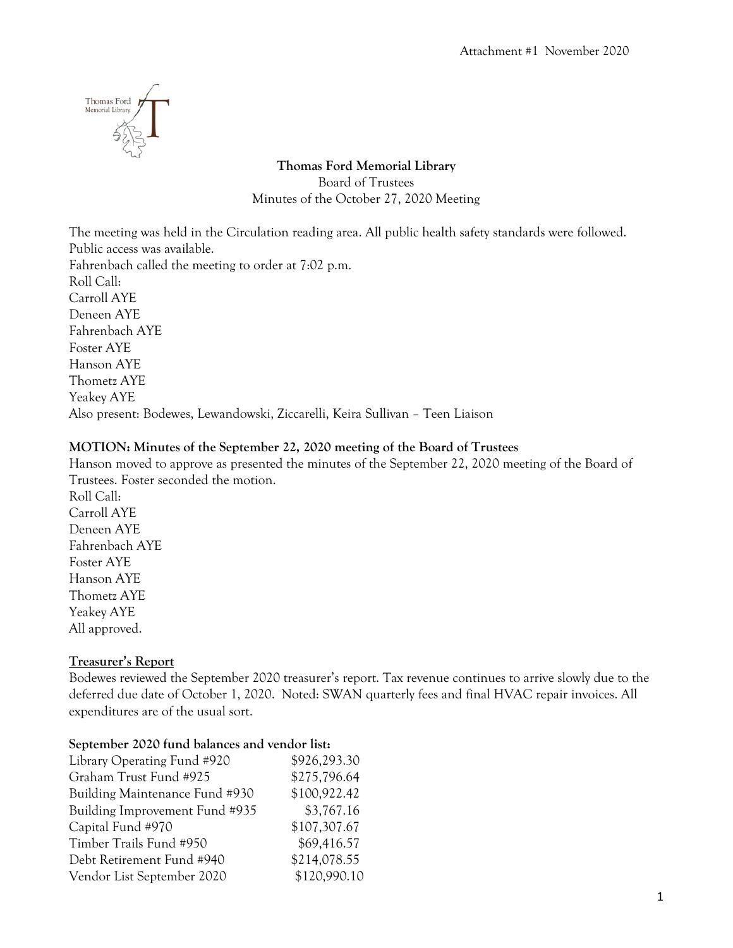

# **Thomas Ford Memorial Library** Board of Trustees Minutes of the October 27, 2020 Meeting

The meeting was held in the Circulation reading area. All public health safety standards were followed. Public access was available.

Fahrenbach called the meeting to order at 7:02 p.m. Roll Call: Carroll AYE Deneen AYE Fahrenbach AYE Foster AYE Hanson AYE Thometz AYE Yeakey AYE Also present: Bodewes, Lewandowski, Ziccarelli, Keira Sullivan – Teen Liaison

# **MOTION: Minutes of the September 22, 2020 meeting of the Board of Trustees**

Hanson moved to approve as presented the minutes of the September 22, 2020 meeting of the Board of Trustees. Foster seconded the motion.

Roll Call: Carroll AYE Deneen AYE Fahrenbach AYE Foster AYE Hanson AYE Thometz AYE Yeakey AYE All approved.

## **Treasurer's Report**

Bodewes reviewed the September 2020 treasurer's report. Tax revenue continues to arrive slowly due to the deferred due date of October 1, 2020. Noted: SWAN quarterly fees and final HVAC repair invoices. All expenditures are of the usual sort.

## **September 2020 fund balances and vendor list:**

| Library Operating Fund #920    | \$926,293.30 |
|--------------------------------|--------------|
| Graham Trust Fund #925         | \$275,796.64 |
| Building Maintenance Fund #930 | \$100,922.42 |
| Building Improvement Fund #935 | \$3,767.16   |
| Capital Fund #970              | \$107,307.67 |
| Timber Trails Fund #950        | \$69,416.57  |
| Debt Retirement Fund #940      | \$214,078.55 |
| Vendor List September 2020     | \$120,990.10 |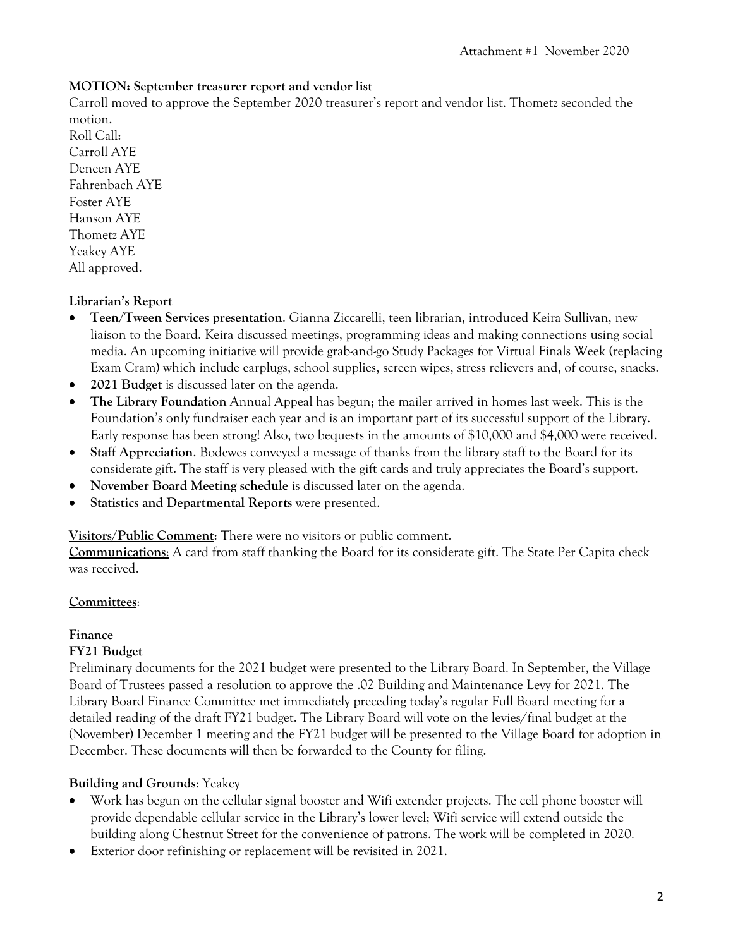# **MOTION: September treasurer report and vendor list**

Carroll moved to approve the September 2020 treasurer's report and vendor list. Thometz seconded the motion.

Roll Call: Carroll AYE Deneen AYE Fahrenbach AYE Foster AYE Hanson AYE Thometz AYE Yeakey AYE All approved.

## **Librarian's Report**

- **Teen/Tween Services presentation**. Gianna Ziccarelli, teen librarian, introduced Keira Sullivan, new liaison to the Board. Keira discussed meetings, programming ideas and making connections using social media. An upcoming initiative will provide grab-and-go Study Packages for Virtual Finals Week (replacing Exam Cram) which include earplugs, school supplies, screen wipes, stress relievers and, of course, snacks.
- **2021 Budget** is discussed later on the agenda.
- **The Library Foundation** Annual Appeal has begun; the mailer arrived in homes last week. This is the Foundation's only fundraiser each year and is an important part of its successful support of the Library. Early response has been strong! Also, two bequests in the amounts of \$10,000 and \$4,000 were received.
- **Staff Appreciation**. Bodewes conveyed a message of thanks from the library staff to the Board for its considerate gift. The staff is very pleased with the gift cards and truly appreciates the Board's support.
- **November Board Meeting schedule** is discussed later on the agenda.
- **Statistics and Departmental Reports** were presented.

**Visitors/Public Comment**: There were no visitors or public comment.

**Communications**: A card from staff thanking the Board for its considerate gift. The State Per Capita check was received.

## **Committees**:

## **Finance**

#### **FY21 Budget**

Preliminary documents for the 2021 budget were presented to the Library Board. In September, the Village Board of Trustees passed a resolution to approve the .02 Building and Maintenance Levy for 2021. The Library Board Finance Committee met immediately preceding today's regular Full Board meeting for a detailed reading of the draft FY21 budget. The Library Board will vote on the levies/final budget at the (November) December 1 meeting and the FY21 budget will be presented to the Village Board for adoption in December. These documents will then be forwarded to the County for filing.

## **Building and Grounds**: Yeakey

- Work has begun on the cellular signal booster and Wifi extender projects. The cell phone booster will provide dependable cellular service in the Library's lower level; Wifi service will extend outside the building along Chestnut Street for the convenience of patrons. The work will be completed in 2020.
- Exterior door refinishing or replacement will be revisited in 2021.